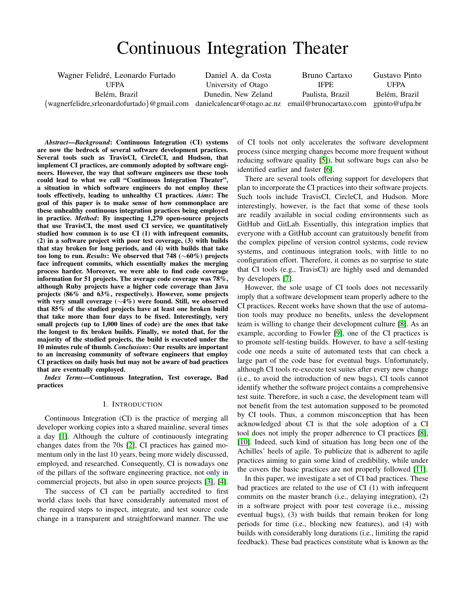# Continuous Integration Theater

<span id="page-0-0"></span>Wagner Felidré, Leonardo Furtado

UFPA Belém, Brazil

Daniel A. da Costa University of Otago Dunedin, New Zeland

{wagnerfelidre,srleonardofurtado}@gmail.com danielcalencar@otago.ac.nz email@brunocartaxo.com

Bruno Cartaxo IFPE Paulista, Brazil

Gustavo Pinto UFPA Belém, Brazil gpinto@ufpa.br

*Abstract*—*Background*: Continuous Integration (CI) systems are now the bedrock of several software development practices. Several tools such as TravisCI, CircleCI, and Hudson, that implement CI practices, are commonly adopted by software engineers. However, the way that software engineers use these tools could lead to what we call "Continuous Integration Theater", a situation in which software engineers do not employ these tools effectively, leading to unhealthy CI practices. *Aims*: The goal of this paper is to make sense of how commonplace are these unhealthy continuous integration practices being employed in practice. *Method*: By inspecting 1,270 open-source projects that use TravisCI, the most used CI service, we quantitatively studied how common is to use CI (1) with infrequent commits, (2) in a software project with poor test coverage, (3) with builds that stay broken for long periods, and (4) with builds that take too long to run. *Results*: We observed that 748 (∼60%) projects face infrequent commits, which essentially makes the merging process harder. Moreover, we were able to find code coverage information for 51 projects. The average code coverage was 78%, although Ruby projects have a higher code coverage than Java projects (86% and 63%, respectively). However, some projects with very small coverage (∼4%) were found. Still, we observed that 85% of the studied projects have at least one broken build that take more than four days to be fixed. Interestingly, very small projects (up to 1,000 lines of code) are the ones that take the longest to fix broken builds. Finally, we noted that, for the majority of the studied projects, the build is executed under the 10 minutes rule of thumb. *Conclusions*: Our results are important to an increasing community of software engineers that employ CI practices on daily basis but may not be aware of bad practices that are eventually employed.

*Index Terms*—Continuous Integration, Test coverage, Bad practices

#### I. INTRODUCTION

Continuous Integration (CI) is the practice of merging all developer working copies into a shared mainline, several times a day [\[1\]](#page-8-0). Although the culture of continuously integrating changes dates from the 70s [\[2\]](#page-8-1), CI practices has gained momentum only in the last 10 years, being more widely discussed, employed, and researched. Consequently, CI is nowadays one of the pillars of the software engineering practice, not only in commercial projects, but also in open source projects [\[3\]](#page-8-2), [\[4\]](#page-8-3).

The success of CI can be partially accredited to first world class tools that have considerably automated most of the required steps to inspect, integrate, and test source code change in a transparent and straightforward manner. The use of CI tools not only accelerates the software development process (since merging changes become more frequent without reducing software quality [\[5\]](#page-8-4)), but software bugs can also be identified earlier and faster [\[6\]](#page-8-5).

There are several tools offering support for developers that plan to incorporate the CI practices into their software projects. Such tools include TravisCI, CircleCI, and Hudson. More interestingly, however, is the fact that some of these tools are readily available in social coding environments such as GitHub and GitLab. Essentially, this integration implies that everyone with a GitHub account can gratuitously benefit from the complex pipeline of version control systems, code review systems, and continuous integration tools, with little to no configuration effort. Therefore, it comes as no surprise to state that CI tools (e.g., TravisCI) are highly used and demanded by developers [\[7\]](#page-9-0).

However, the sole usage of CI tools does not necessarily imply that a software development team properly adhere to the CI practices. Recent works have shown that the use of automation tools may produce no benefits, unless the development team is willing to change their development culture [\[8\]](#page-9-1). As an example, according to Fowler [\[9\]](#page-9-2), one of the CI practices is to promote self-testing builds. However, to have a self-testing code one needs a suite of automated tests that can check a large part of the code base for eventual bugs. Unfortunately, although CI tools re-execute test suites after every new change (i.e., to avoid the introduction of new bugs), CI tools cannot identify whether the software project contains a comprehensive test suite. Therefore, in such a case, the development team will not benefit from the test automation supposed to be promoted by CI tools. Thus, a common misconception that has been acknowledged about CI is that the sole adoption of a CI tool does not imply the proper adherence to CI practices [\[8\]](#page-9-1), [\[10\]](#page-9-3). Indeed, such kind of situation has long been one of the Achilles' heels of agile. To publicize that is adherent to agile practices aiming to gain some kind of credibility, while under the covers the basic practices are not properly followed [\[11\]](#page-9-4).

In this paper, we investigate a set of CI bad practices. These bad practices are related to the use of CI (1) with infrequent commits on the master branch (i.e., delaying integration), (2) in a software project with poor test coverage (i.e., missing eventual bugs), (3) with builds that remain broken for long periods for time (i.e., blocking new features), and (4) with builds with considerably long durations (i.e., limiting the rapid feedback). These bad practices constitute what is known as the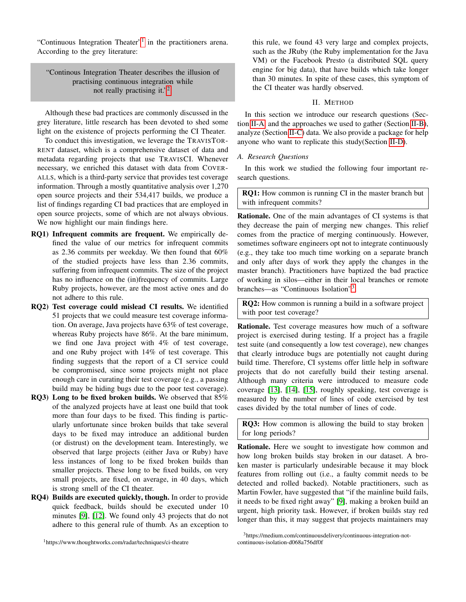"Continuous Integration Theater"<sup>[1](#page-1-0)</sup> in the practitioners arena. According to the grey literature:

"Continous Integration Theater describes the illusion of practising continuous integration while not really practising it."<sup>[2](#page-0-0)</sup>.

Although these bad practices are commonly discussed in the grey literature, little research has been devoted to shed some light on the existence of projects performing the CI Theater.

To conduct this investigation, we leverage the TRAVISTOR-RENT dataset, which is a comprehensive dataset of data and metadata regarding projects that use TRAVISCI. Whenever necessary, we enriched this dataset with data from COVER-ALLS, which is a third-party service that provides test coverage information. Through a mostly quantitative analysis over 1,270 open source projects and their 534,417 builds, we produce a list of findings regarding CI bad practices that are employed in open source projects, some of which are not always obvious. We now highlight our main findings here.

- RQ1) Infrequent commits are frequent. We empirically defined the value of our metrics for infrequent commits as 2.36 commits per weekday. We then found that 60% of the studied projects have less than 2.36 commits, suffering from infrequent commits. The size of the project has no influence on the (in)frequency of commits. Large Ruby projects, however, are the most active ones and do not adhere to this rule.
- RQ2) Test coverage could mislead CI results. We identified 51 projects that we could measure test coverage information. On average, Java projects have 63% of test coverage, whereas Ruby projects have 86%. At the bare minimum, we find one Java project with 4% of test coverage, and one Ruby project with 14% of test coverage. This finding suggests that the report of a CI service could be compromised, since some projects might not place enough care in curating their test coverage (e.g., a passing build may be hiding bugs due to the poor test coverage).
- RQ3) Long to be fixed broken builds. We observed that 85% of the analyzed projects have at least one build that took more than four days to be fixed. This finding is particularly unfortunate since broken builds that take several days to be fixed may introduce an additional burden (or distrust) on the development team. Interestingly, we observed that large projects (either Java or Ruby) have less instances of long to be fixed broken builds than smaller projects. These long to be fixed builds, on very small projects, are fixed, on average, in 40 days, which is strong smell of the CI theater.
- RQ4) Builds are executed quickly, though. In order to provide quick feedback, builds should be executed under 10 minutes [\[9\]](#page-9-2), [\[12\]](#page-9-5). We found only 43 projects that do not adhere to this general rule of thumb. As an exception to

<span id="page-1-0"></span><sup>1</sup>https://www.thoughtworks.com/radar/techniques/ci-theatre

this rule, we found 43 very large and complex projects, such as the JRuby (the Ruby implementation for the Java VM) or the Facebook Presto (a distributed SQL query engine for big data), that have builds which take longer than 30 minutes. In spite of these cases, this symptom of the CI theater was hardly observed.

#### II. METHOD

In this section we introduce our research questions (Section [II-A,](#page-1-1) and the approaches we used to gather (Section [II-B\)](#page-2-0), analyze (Section [II-C\)](#page-3-0) data. We also provide a package for help anyone who want to replicate this study(Section [II-D\)](#page-3-1).

## <span id="page-1-1"></span>*A. Research Questions*

In this work we studied the following four important research questions.

RQ1: How common is running CI in the master branch but with infrequent commits?

Rationale. One of the main advantages of CI systems is that they decrease the pain of merging new changes. This relief comes from the practice of merging continuously. However, sometimes software engineers opt not to integrate continuously (e.g., they take too much time working on a separate branch and only after days of work they apply the changes in the master branch). Practitioners have baptized the bad practice of working in silos—either in their local branches or remote branches—as "Continuous Isolation"[3](#page-1-2) .

RQ2: How common is running a build in a software project with poor test coverage?

Rationale. Test coverage measures how much of a software project is exercised during testing. If a project has a fragile test suite (and consequently a low test coverage), new changes that clearly introduce bugs are potentially not caught during build time. Therefore, CI systems offer little help in software projects that do not carefully build their testing arsenal. Although many criteria were introduced to measure code coverage [\[13\]](#page-9-6), [\[14\]](#page-9-7), [\[15\]](#page-9-8), roughly speaking, test coverage is measured by the number of lines of code exercised by test cases divided by the total number of lines of code.

RQ3: How common is allowing the build to stay broken for long periods?

Rationale. Here we sought to investigate how common and how long broken builds stay broken in our dataset. A broken master is particularly undesirable because it may block features from rolling out (i.e., a faulty commit needs to be detected and rolled backed). Notable practitioners, such as Martin Fowler, have suggested that "if the mainline build fails, it needs to be fixed right away" [\[9\]](#page-9-2), making a broken build an urgent, high priority task. However, if broken builds stay red longer than this, it may suggest that projects maintainers may

<span id="page-1-2"></span><sup>3</sup>https://medium.com/continuousdelivery/continuous-integration-notcontinuous-isolation-d068a756df0f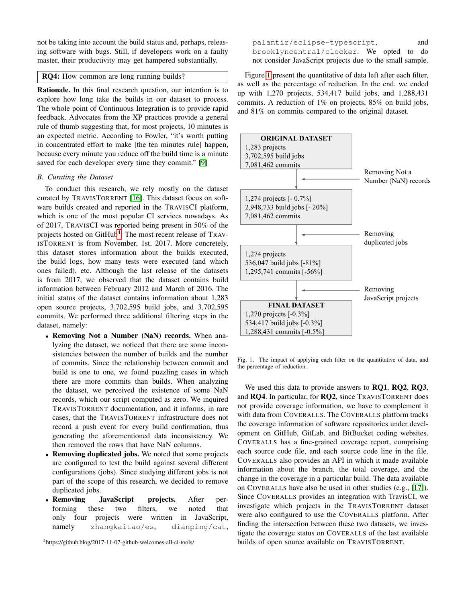not be taking into account the build status and, perhaps, releasing software with bugs. Still, if developers work on a faulty master, their productivity may get hampered substantially.

# RQ4: How common are long running builds?

Rationale. In this final research question, our intention is to explore how long take the builds in our dataset to process. The whole point of Continuous Integration is to provide rapid feedback. Advocates from the XP practices provide a general rule of thumb suggesting that, for most projects, 10 minutes is an expected metric. According to Fowler, "it's worth putting in concentrated effort to make [the ten minutes rule] happen, because every minute you reduce off the build time is a minute saved for each developer every time they commit." [\[9\]](#page-9-2)

#### <span id="page-2-0"></span>*B. Curating the Dataset*

To conduct this research, we rely mostly on the dataset curated by TRAVISTORRENT [\[16\]](#page-9-9). This dataset focus on software builds created and reported in the TRAVISCI platform, which is one of the most popular CI services nowadays. As of 2017, TRAVISCI was reported being present in 50% of the projects hosted on GitHub<sup>[4](#page-2-1)</sup>. The most recent release of TRAV-ISTORRENT is from November, 1st, 2017. More concretely, this dataset stores information about the builds executed, the build logs, how many tests were executed (and which ones failed), etc. Although the last release of the datasets is from 2017, we observed that the dataset contains build information between February 2012 and March of 2016. The initial status of the dataset contains information about 1,283 open source projects, 3,702,595 build jobs, and 3,702,595 commits. We performed three additional filtering steps in the dataset, namely:

- Removing Not a Number (NaN) records. When analyzing the dataset, we noticed that there are some inconsistencies between the number of builds and the number of commits. Since the relationship between commit and build is one to one, we found puzzling cases in which there are more commits than builds. When analyzing the dataset, we perceived the existence of some NaN records, which our script computed as zero. We inquired TRAVISTORRENT documentation, and it informs, in rare cases, that the TRAVISTORRENT infrastructure does not record a push event for every build confirmation, thus generating the aforementioned data inconsistency. We then removed the rows that have NaN columns.
- Removing duplicated jobs. We noted that some projects are configured to test the build against several different configurations (jobs). Since studying different jobs is not part of the scope of this research, we decided to remove duplicated jobs.
- Removing JavaScript projects. After performing these two filters, we noted that only four projects were written in JavaScript, namely zhangkaitao/es, dianping/cat,

<span id="page-2-1"></span><sup>4</sup>https://github.blog/2017-11-07-github-welcomes-all-ci-tools/

palantir/eclipse-typescript, and brooklyncentral/clocker. We opted to do not consider JavaScript projects due to the small sample.

Figure [1](#page-2-2) present the quantitative of data left after each filter, as well as the percentage of reduction. In the end, we ended up with 1,270 projects, 534,417 build jobs, and 1,288,431 commits. A reduction of 1% on projects, 85% on build jobs, and 81% on commits compared to the original dataset.



<span id="page-2-2"></span>Fig. 1. The impact of applying each filter on the quantitative of data, and the percentage of reduction.

We used this data to provide answers to RQ1, RQ2, RQ3, and RQ4. In particular, for RQ2, since TRAVISTORRENT does not provide coverage information, we have to complement it with data from COVERALLS. The COVERALLS platform tracks the coverage information of software repositories under development on GitHub, GitLab, and BitBucket coding websites. COVERALLS has a fine-grained coverage report, comprising each source code file, and each source code line in the file. COVERALLS also provides an API in which it made available information about the branch, the total coverage, and the change in the coverage in a particular build. The data available on COVERALLS have also be used in other studies (e.g., [\[17\]](#page-9-10)). Since COVERALLS provides an integration with TravisCI, we investigate which projects in the TRAVISTORRENT dataset were also configured to use the COVERALLS platform. After finding the intersection between these two datasets, we investigate the coverage status on COVERALLS of the last available builds of open source available on TRAVISTORRENT.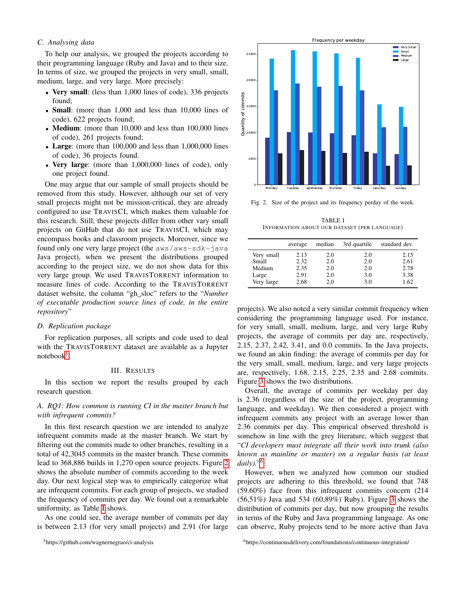## <span id="page-3-0"></span>*C. Analysing data*

To help our analysis, we grouped the projects according to their programming language (Ruby and Java) and to their size. In terms of size, we grouped the projects in very small, small, medium, large, and very large. More precisely:

- Very small: (less than 1,000 lines of code), 336 projects found;
- **Small**: (more than 1,000 and less than 10,000 lines of code), 622 projects found;
- Medium: (more than 10,000 and less than 100,000 lines of code), 261 projects found;
- Large: (more than 100,000 and less than 1,000,000 lines of code), 36 projects found.
- Very large: (more than 1,000,000 lines of code), only one project found.

One may argue that our sample of small projects should be removed from this study. However, although our set of very small projects might not be mission-critical, they are already configured to use TRAVISCI, which makes them valuable for this research. Still, these projects differ from other vary small projects on GitHub that do not use TRAVISCI, which may encompass books and classroom projects. Moreover, since we found only one very large project (the aws/aws-sdk-java Java project), when we present the distributions grouped according to the project size, we do not show data for this very large group. We used TRAVISTORRENT information to measure lines of code. According to the TRAVISTORRENT dataset website, the column "gh\_sloc" refers to the "*Number of executable production source lines of code, in the entire repository*"

## <span id="page-3-1"></span>*D. Replication package*

For replication purposes, all scripts and code used to deal with the TRAVISTORRENT dataset are available as a Jupyter notebook<sup>[5](#page-3-2)</sup>.

#### III. RESULTS

In this section we report the results grouped by each research question.

# *A. RQ1: How common is running CI in the master branch but with infrequent commits?*

In this first research question we are intended to analyze infrequent commits made at the master branch. We start by filtering out the commits made to other branches, resulting in a total of 42,3045 commits in the master branch. These commits lead to 368,886 builds in 1,270 open source projects. Figure [2](#page-3-3) shows the absolute number of commits according to the week day. Our next logical step was to empirically categorize what are infrequent commits. For each group of projects, we studied the frequency of commits per day. We found out a remarkable uniformity, as Table [I](#page-3-4) shows.

As one could see, the average number of commits per day is between 2.13 (for very small projects) and 2.91 (for large



<span id="page-3-4"></span>Fig. 2. Size of the project and its frequency perday of the week.

<span id="page-3-3"></span>TABLE I INFORMATION ABOUT OUR DATASET (PER LANGUAGE)

|            | average | median | 3rd quartile | standard dev. |
|------------|---------|--------|--------------|---------------|
| Very small | 2.13    | 2.0    | 2.0          | 2.15          |
| Small      | 2.32    | 2.0    | 2.0          | 2.61          |
| Medium     | 2.35    | 2.0    | 2.0          | 2.78          |
| Large      | 2.91    | 2.0    | 3.0          | 3.38          |
| Very large | 2.68    | 2.0    | 3.0          | 1.62          |

projects). We also noted a very similar commit frequency when considering the programming language used. For instance, for very small, small, medium, large, and very large Ruby projects, the average of commits per day are, respectively, 2.15, 2.37, 2.42, 3.41, and 0.0 commits. In the Java projects, we found an akin finding: the average of commits per day for the very small, small, medium, large, and very large projects are, respectively, 1.68, 2.15, 2.25, 2.35 and 2.68 commits. Figure [3](#page-5-0) shows the two distributions.

Overall, the average of commits per weekday per day is 2.36 (regardless of the size of the project, programming language, and weekday). We then considered a project with infrequent commits any project with an average lower than 2.36 commits per day. This empirical observed threshold is somehow in line with the grey literature, which suggest that "*CI developers must integrate all their work into trunk (also known as mainline or master) on a regular basis (at least daily).*" [6](#page-3-5)

However, when we analyzed how common our studied projects are adhering to this threshold, we found that 748 (59.60%) face from this infrequent commits concern (214 (56,51%) Java and 534 (60,89%) Ruby). Figure [3](#page-5-0) shows the distribution of commits per day, but now grouping the results in terms of the Ruby and Java programming language. As one can observe, Ruby projects tend to be more active than Java

<span id="page-3-5"></span><sup>6</sup>https://continuousdelivery.com/foundations/continuous-integration/

<span id="page-3-2"></span><sup>5</sup>https://github.com/wagnernegrao/ci-analysis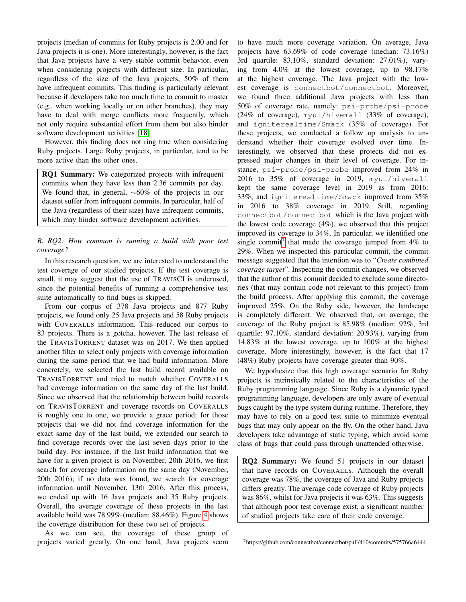projects (median of commits for Ruby projects is 2.00 and for Java projects it is one). More interestingly, however, is the fact that Java projects have a very stable commit behavior, even when considering projects with different size. In particular, regardless of the size of the Java projects, 50% of them have infrequent commits. This finding is particularly relevant because if developers take too much time to commit to master (e.g., when working locally or on other branches), they may have to deal with merge conflicts more frequently, which not only require substantial effort from them but also hinder software development activities [\[18\]](#page-9-11)

However, this finding does not ring true when considering Ruby projects. Large Ruby projects, in particular, tend to be more active than the other ones.

RQ1 Summary: We categorized projects with infrequent commits when they have less than 2.36 commits per day. We found that, in general, ∼60% of the projects in our dataset suffer from infrequent commits. In particular, half of the Java (regardless of their size) have infrequent commits, which may hinder software development activities.

# *B. RQ2: How common is running a build with poor test coverage?*

In this research question, we are interested to understand the test coverage of our studied projects. If the test coverage is small, it may suggest that the use of TRAVISCI is underused, since the potential benefits of running a comprehensive test suite automatically to find bugs is skipped.

From our corpus of 378 Java projects and 877 Ruby projects, we found only 25 Java projects and 58 Ruby projects with COVERALLS information. This reduced our corpus to 83 projects. There is a gotcha, however. The last release of the TRAVISTORRENT dataset was on 2017. We then applied another filter to select only projects with coverage information during the same period that we had build information. More concretely, we selected the last build record available on TRAVISTORRENT and tried to match whether COVERALLS had coverage information on the same day of the last build. Since we observed that the relationship between build records on TRAVISTORRENT and coverage records on COVERALLS is roughly one to one, we provide a grace period: for those projects that we did not find coverage information for the exact same day of the last build, we extended our search to find coverage records over the last seven days prior to the build day. For instance, if the last build information that we have for a given project is on November, 20th 2016, we first search for coverage information on the same day (November, 20th 2016); if no data was found, we search for coverage information until November, 13th 2016. After this process, we ended up with 16 Java projects and 35 Ruby projects. Overall, the average coverage of these projects in the last available build was 78.99% (median: 88.46%). Figure [4](#page-5-1) shows the coverage distribution for these two set of projects.

As we can see, the coverage of these group of projects varied greatly. On one hand, Java projects seem to have much more coverage variation. On average, Java projects have 63.69% of code coverage (median: 73.16%) 3rd quartile: 83.10%, standard deviation: 27.01%), varying from 4.0% at the lowest coverage, up to 98.17% at the highest coverage. The Java project with the lowest coverage is connectbot/connectbot. Moreover, we found three additional Java projects with less than 50% of coverage rate, namely: psi-probe/psi-probe (24% of coverage), myui/hivemall (33% of coverage), and igniterealtime/Smack (35% of coverage). For these projects, we conducted a follow up analysis to understand whether their coverage evolved over time. Interestingly, we observed that these projects did not expressed major changes in their level of coverage. For instance, psi-probe/psi-probe improved from 24% in 2016 to 35% of coverage in 2019, myui/hivemall kept the same coverage level in 2019 as from 2016: 33%, and igniterealtime/Smack improved from 35% in 2016 to 38% coverage in 2019. Still, regarding connectbot/connectbot which is the Java project with the lowest code coverage (4%), we observed that this project improved its coverage to 34%. In particular, we identified one single commit<sup>[7](#page-4-0)</sup> that made the coverage jumped from  $4\%$  to 29%. When we inspected this particular commit, the commit message suggested that the intention was to "*Create combined coverage target*". Inspecting the commit changes, we observed that the author of this commit decided to exclude some directories (that may contain code not relevant to this project) from the build process. After applying this commit, the coverage improved 25%. On the Ruby side, however, the landscape is completely different. We observed that, on average, the coverage of the Ruby project is 85.98% (median: 92%, 3rd quartile: 97.10%, standard deviation: 20.93%), varying from 14.83% at the lowest coverage, up to 100% at the highest coverage. More interestingly, however, is the fact that 17 (48%) Ruby projects have coverage greater than 90%.

We hypothesize that this high coverage scenario for Ruby projects is intrinsically related to the characteristics of the Ruby programming language. Since Ruby is a dynamic typed programming language, developers are only aware of eventual bugs caught by the type system during runtime. Therefore, they may have to rely on a good test suite to minimize eventual bugs that may only appear on the fly. On the other hand, Java developers take advantage of static typing, which avoid some class of bugs that could pass through unattended otherwise.

RQ2 Summary: We found 51 projects in our dataset that have records on COVERALLS. Although the overall coverage was 78%, the coverage of Java and Ruby projects differs greatly. The average code coverage of Ruby projects was 86%, whilst for Java projects it was 63%. This suggests that although poor test coverage exist, a significant number of studied projects take care of their code coverage.

<span id="page-4-0"></span><sup>7</sup>https://github.com/connectbot/connectbot/pull/410/commits/575766a6444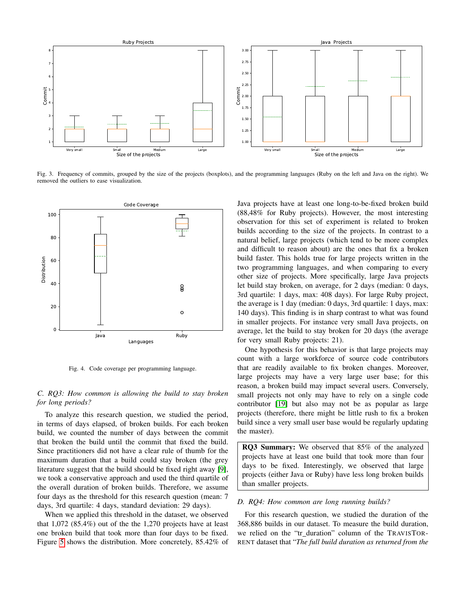

Fig. 3. Frequency of commits, grouped by the size of the projects (boxplots), and the programming languages (Ruby on the left and Java on the right). We removed the outliers to ease visualization.



<span id="page-5-1"></span>Fig. 4. Code coverage per programming language.

# *C. RQ3: How common is allowing the build to stay broken for long periods?*

To analyze this research question, we studied the period, in terms of days elapsed, of broken builds. For each broken build, we counted the number of days between the commit that broken the build until the commit that fixed the build. Since practitioners did not have a clear rule of thumb for the maximum duration that a build could stay broken (the grey literature suggest that the build should be fixed right away [\[9\]](#page-9-2), we took a conservative approach and used the third quartile of the overall duration of broken builds. Therefore, we assume four days as the threshold for this research question (mean: 7 days, 3rd quartile: 4 days, standard deviation: 29 days).

When we applied this threshold in the dataset, we observed that 1,072 (85.4%) out of the the 1,270 projects have at least one broken build that took more than four days to be fixed. Figure [5](#page-6-0) shows the distribution. More concretely, 85.42% of <span id="page-5-0"></span>Java projects have at least one long-to-be-fixed broken build (88,48% for Ruby projects). However, the most interesting observation for this set of experiment is related to broken builds according to the size of the projects. In contrast to a natural belief, large projects (which tend to be more complex and difficult to reason about) are the ones that fix a broken build faster. This holds true for large projects written in the two programming languages, and when comparing to every other size of projects. More specifically, large Java projects let build stay broken, on average, for 2 days (median: 0 days, 3rd quartile: 1 days, max: 408 days). For large Ruby project, the average is 1 day (median: 0 days, 3rd quartile: 1 days, max: 140 days). This finding is in sharp contrast to what was found in smaller projects. For instance very small Java projects, on average, let the build to stay broken for 20 days (the average for very small Ruby projects: 21).

One hypothesis for this behavior is that large projects may count with a large workforce of source code contributors that are readily available to fix broken changes. Moreover, large projects may have a very large user base; for this reason, a broken build may impact several users. Conversely, small projects not only may have to rely on a single code contributor [\[19\]](#page-9-12) but also may not be as popular as large projects (therefore, there might be little rush to fix a broken build since a very small user base would be regularly updating the master).

RQ3 Summary: We observed that 85% of the analyzed projects have at least one build that took more than four days to be fixed. Interestingly, we observed that large projects (either Java or Ruby) have less long broken builds than smaller projects.

### *D. RQ4: How common are long running builds?*

For this research question, we studied the duration of the 368,886 builds in our dataset. To measure the build duration, we relied on the "tr duration" column of the TRAVISTOR-RENT dataset that "*The full build duration as returned from the*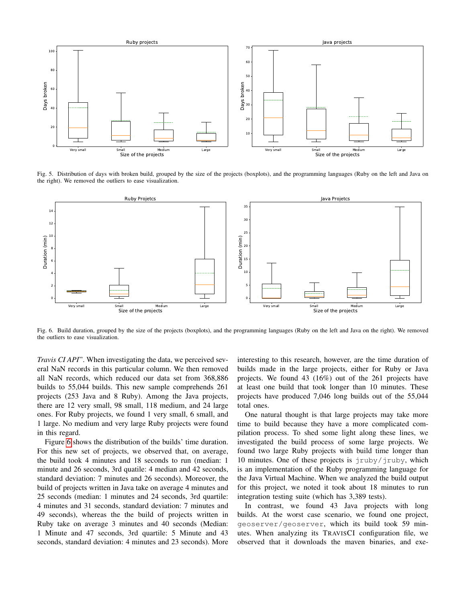

<span id="page-6-0"></span>Fig. 5. Distribution of days with broken build, grouped by the size of the projects (boxplots), and the programming languages (Ruby on the left and Java on the right). We removed the outliers to ease visualization.



Fig. 6. Build duration, grouped by the size of the projects (boxplots), and the programming languages (Ruby on the left and Java on the right). We removed the outliers to ease visualization.

*Travis CI API*". When investigating the data, we perceived several NaN records in this particular column. We then removed all NaN records, which reduced our data set from 368,886 builds to 55,044 builds. This new sample comprehends 261 projects (253 Java and 8 Ruby). Among the Java projects, there are 12 very small, 98 small, 118 medium, and 24 large ones. For Ruby projects, we found 1 very small, 6 small, and 1 large. No medium and very large Ruby projects were found in this regard.

Figure [6](#page-6-1) shows the distribution of the builds' time duration. For this new set of projects, we observed that, on average, the build took 4 minutes and 18 seconds to run (median: 1 minute and 26 seconds, 3rd quatile: 4 median and 42 seconds, standard deviation: 7 minutes and 26 seconds). Moreover, the build of projects written in Java take on average 4 minutes and 25 seconds (median: 1 minutes and 24 seconds, 3rd quartile: 4 minutes and 31 seconds, standard deviation: 7 minutes and 49 seconds), whereas the the build of projects written in Ruby take on average 3 minutes and 40 seconds (Median: 1 Minute and 47 seconds, 3rd quartile: 5 Minute and 43 seconds, standard deviation: 4 minutes and 23 seconds). More <span id="page-6-1"></span>interesting to this research, however, are the time duration of builds made in the large projects, either for Ruby or Java projects. We found 43 (16%) out of the 261 projects have at least one build that took longer than 10 minutes. These projects have produced 7,046 long builds out of the 55,044 total ones.

One natural thought is that large projects may take more time to build because they have a more complicated compilation process. To shed some light along these lines, we investigated the build process of some large projects. We found two large Ruby projects with build time longer than 10 minutes. One of these projects is  $jruby/jruby$ , which is an implementation of the Ruby programming language for the Java Virtual Machine. When we analyzed the build output for this project, we noted it took about 18 minutes to run integration testing suite (which has 3,389 tests).

In contrast, we found 43 Java projects with long builds. At the worst case scenario, we found one project, geoserver/geoserver, which its build took 59 minutes. When analyzing its TRAVISCI configuration file, we observed that it downloads the maven binaries, and exe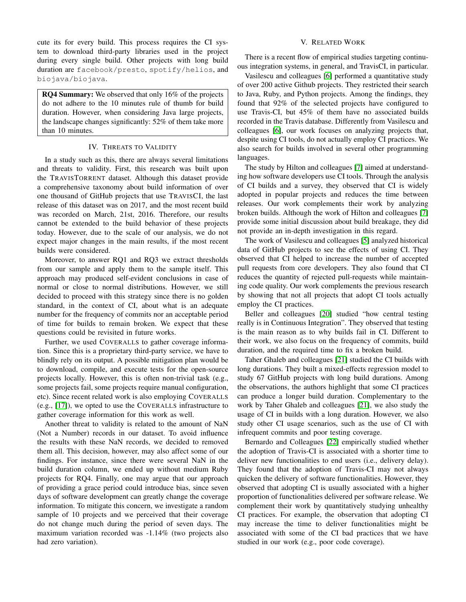cute its for every build. This process requires the CI system to download third-party libraries used in the project during every single build. Other projects with long build duration are facebook/presto, spotify/helios, and biojava/biojava.

RQ4 Summary: We observed that only 16% of the projects do not adhere to the 10 minutes rule of thumb for build duration. However, when considering Java large projects, the landscape changes significantly: 52% of them take more than 10 minutes.

# IV. THREATS TO VALIDITY

In a study such as this, there are always several limitations and threats to validity. First, this research was built upon the TRAVISTORRENT dataset. Although this dataset provide a comprehensive taxonomy about build information of over one thousand of GitHub projects that use TRAVISCI, the last release of this dataset was on 2017, and the most recent build was recorded on March, 21st, 2016. Therefore, our results cannot be extended to the build behavior of these projects today. However, due to the scale of our analysis, we do not expect major changes in the main results, if the most recent builds were considered.

Moreover, to answer RQ1 and RQ3 we extract thresholds from our sample and apply them to the sample itself. This approach may produced self-evident conclusions in case of normal or close to normal distributions. However, we still decided to proceed with this strategy since there is no golden standard, in the context of CI, about what is an adequate number for the frequency of commits nor an acceptable period of time for builds to remain broken. We expect that these questions could be revisited in future works.

Further, we used COVERALLS to gather coverage information. Since this is a proprietary third-party service, we have to blindly rely on its output. A possible mitigation plan would be to download, compile, and execute tests for the open-source projects locally. However, this is often non-trivial task (e.g., some projects fail, some projects require manual configuration, etc). Since recent related work is also employing COVERALLS (e.g., [\[17\]](#page-9-10)), we opted to use the COVERALLS infrastructure to gather coverage information for this work as well.

Another threat to validity is related to the amount of NaN (Not a Number) records in our dataset. To avoid influence the results with these NaN records, we decided to removed them all. This decision, however, may also affect some of our findings. For instance, since there were several NaN in the build duration column, we ended up without medium Ruby projects for RQ4. Finally, one may argue that our approach of providing a grace period could introduce bias, since seven days of software development can greatly change the coverage information. To mitigate this concern, we investigate a random sample of 10 projects and we perceived that their coverage do not change much during the period of seven days. The maximum variation recorded was -1.14% (two projects also had zero variation).

## V. RELATED WORK

There is a recent flow of empirical studies targeting continuous integration systems, in general, and TravisCI, in particular.

Vasilescu and colleagues [\[6\]](#page-8-5) performed a quantitative study of over 200 active Github projects. They restricted their search to Java, Ruby, and Python projects. Among the findings, they found that 92% of the selected projects have configured to use Travis-CI, but 45% of them have no associated builds recorded in the Travis database. Differently from Vasilescu and colleagues [\[6\]](#page-8-5), our work focuses on analyzing projects that, despite using CI tools, do not actually employ CI practices. We also search for builds involved in several other programming languages.

The study by Hilton and colleagues [\[7\]](#page-9-0) aimed at understanding how software developers use CI tools. Through the analysis of CI builds and a survey, they observed that CI is widely adopted in popular projects and reduces the time between releases. Our work complements their work by analyzing broken builds. Although the work of Hilton and colleagues [\[7\]](#page-9-0) provide some initial discussion about build breakage, they did not provide an in-depth investigation in this regard.

The work of Vasilescu and colleagues [\[5\]](#page-8-4) analyzed historical data of GitHub projects to see the effects of using CI. They observed that CI helped to increase the number of accepted pull requests from core developers. They also found that CI reduces the quantity of rejected pull-requests while maintaining code quality. Our work complements the previous research by showing that not all projects that adopt CI tools actually employ the CI practices.

Beller and colleagues [\[20\]](#page-9-13) studied "how central testing really is in Continuous Integration". They observed that testing is the main reason as to why builds fail in CI. Different to their work, we also focus on the frequency of commits, build duration, and the required time to fix a broken build.

Taher Ghaleb and colleagues [\[21\]](#page-9-14) studied the CI builds with long durations. They built a mixed-effects regression model to study 67 GitHub projects with long build durations. Among the observations, the authors highlight that some CI practices can produce a longer build duration. Complementary to the work by Taher Ghaleb and colleagues [\[21\]](#page-9-14), we also study the usage of CI in builds with a long duration. However, we also study other CI usage scenarios, such as the use of CI with infrequent commits and poor testing coverage.

Bernardo and Colleagues [\[22\]](#page-9-15) empirically studied whether the adoption of Travis-CI is associated with a shorter time to deliver new functionalities to end users (i.e., delivery delay). They found that the adoption of Travis-CI may not always quicken the delivery of software functionalities. However, they observed that adopting CI is usually associated with a higher proportion of functionalities delivered per software release. We complement their work by quantitatively studying unhealthy CI practices. For example, the observation that adopting CI may increase the time to deliver functionalities might be associated with some of the CI bad practices that we have studied in our work (e.g., poor code coverage).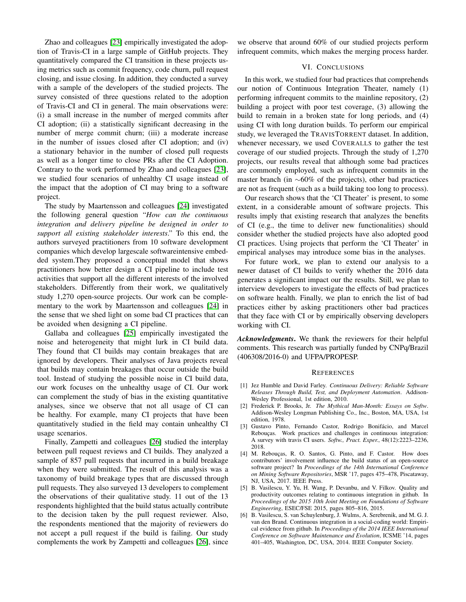Zhao and colleagues [\[23\]](#page-9-16) empirically investigated the adoption of Travis-CI in a large sample of GitHub projects. They quantitatively compared the CI transition in these projects using metrics such as commit frequency, code churn, pull request closing, and issue closing. In addition, they conducted a survey with a sample of the developers of the studied projects. The survey consisted of three questions related to the adoption of Travis-CI and CI in general. The main observations were: (i) a small increase in the number of merged commits after CI adoption; (ii) a statistically significant decreasing in the number of merge commit churn; (iii) a moderate increase in the number of issues closed after CI adoption; and (iv) a stationary behavior in the number of closed pull requests as well as a longer time to close PRs after the CI Adoption. Contrary to the work performed by Zhao and colleagues [\[23\]](#page-9-16), we studied four scenarios of unhealthy CI usage instead of the impact that the adoption of CI may bring to a software project.

The study by Maartensson and colleagues [\[24\]](#page-9-17) investigated the following general question "*How can the continuous integration and delivery pipeline be designed in order to support all existing stakeholder interests*." To this end, the authors surveyed practitioners from 10 software development companies which develop largescale softwareintensive embedded system.They proposed a conceptual model that shows practitioners how better design a CI pipeline to include test activities that support all the different interests of the involved stakeholders. Differently from their work, we qualitatively study 1,270 open-source projects. Our work can be complementary to the work by Maartensson and colleagues [\[24\]](#page-9-17) in the sense that we shed light on some bad CI practices that can be avoided when designing a CI pipeline.

Gallaba and colleagues [\[25\]](#page-9-18) empirically investigated the noise and heterogeneity that might lurk in CI build data. They found that CI builds may contain breakages that are ignored by developers. Their analyses of Java projects reveal that builds may contain breakages that occur outside the build tool. Instead of studying the possible noise in CI build data, our work focuses on the unhealthy usage of CI. Our work can complement the study of bias in the existing quantitative analyses, since we observe that not all usage of CI can be healthy. For example, many CI projects that have been quantitatively studied in the field may contain unhealthy CI usage scenarios.

Finally, Zampetti and colleagues [\[26\]](#page-9-19) studied the interplay between pull request reviews and CI builds. They analyzed a sample of 857 pull requests that incurred in a build breakage when they were submitted. The result of this analysis was a taxonomy of build breakage types that are discussed through pull requests. They also surveyed 13 developers to complement the observations of their qualitative study. 11 out of the 13 respondents highlighted that the build status actually contribute to the decision taken by the pull request reviewer. Also, the respondents mentioned that the majority of reviewers do not accept a pull request if the build is failing. Our study complements the work by Zampetti and colleagues [\[26\]](#page-9-19), since

we observe that around 60% of our studied projects perform infrequent commits, which makes the merging process harder.

## VI. CONCLUSIONS

In this work, we studied four bad practices that comprehends our notion of Continuous Integration Theater, namely (1) performing infrequent commits to the mainline repository, (2) building a project with poor test coverage, (3) allowing the build to remain in a broken state for long periods, and (4) using CI with long duration builds. To perform our empirical study, we leveraged the TRAVISTORRENT dataset. In addition, whenever necessary, we used COVERALLS to gather the test coverage of our studied projects. Through the study of 1,270 projects, our results reveal that although some bad practices are commonly employed, such as infrequent commits in the master branch (in ∼60% of the projects), other bad practices are not as frequent (such as a build taking too long to process).

Our research shows that the 'CI Theater' is present, to some extent, in a considerable amount of software projects. This results imply that existing research that analyzes the benefits of CI (e.g., the time to deliver new functionalities) should consider whether the studied projects have also adopted good CI practices. Using projects that perform the 'CI Theater' in empirical analyses may introduce some bias in the analyses.

For future work, we plan to extend our analysis to a newer dataset of CI builds to verify whether the 2016 data generates a significant impact our the results. Still, we plan to interview developers to investigate the effects of bad practices on software health. Finally, we plan to enrich the list of bad practices either by asking practitioners other bad practices that they face with CI or by empirically observing developers working with CI.

*Acknowledgments*. We thank the reviewers for their helpful comments. This research was partially funded by CNPq/Brazil (406308/2016-0) and UFPA/PROPESP.

#### **REFERENCES**

- <span id="page-8-0"></span>[1] Jez Humble and David Farley. *Continuous Delivery: Reliable Software Releases Through Build, Test, and Deployment Automation*. Addison-Wesley Professional, 1st edition, 2010.
- <span id="page-8-1"></span>[2] Frederick P. Brooks, Jr. *The Mythical Man-Month: Essays on Softw*. Addison-Wesley Longman Publishing Co., Inc., Boston, MA, USA, 1st edition, 1978.
- <span id="page-8-2"></span>[3] Gustavo Pinto, Fernando Castor, Rodrigo Bonifácio, and Marcel Rebouças. Work practices and challenges in continuous integration: A survey with travis CI users. *Softw., Pract. Exper.*, 48(12):2223–2236, 2018.
- <span id="page-8-3"></span>[4] M. Rebouças, R. O. Santos, G. Pinto, and F. Castor. How does contributors' involvement influence the build status of an open-source software project? In *Proceedings of the 14th International Conference on Mining Software Repositories*, MSR '17, pages 475–478, Piscataway, NJ, USA, 2017. IEEE Press.
- <span id="page-8-4"></span>[5] B. Vasilescu, Y. Yu, H. Wang, P. Devanbu, and V. Filkov. Quality and productivity outcomes relating to continuous integration in github. In *Proceedings of the 2015 10th Joint Meeting on Foundations of Software Engineering*, ESEC/FSE 2015, pages 805–816, 2015.
- <span id="page-8-5"></span>[6] B. Vasilescu, S. van Schuylenburg, J. Wulms, A. Serebrenik, and M. G. J. van den Brand. Continuous integration in a social-coding world: Empirical evidence from github. In *Proceedings of the 2014 IEEE International Conference on Software Maintenance and Evolution*, ICSME '14, pages 401–405, Washington, DC, USA, 2014. IEEE Computer Society.